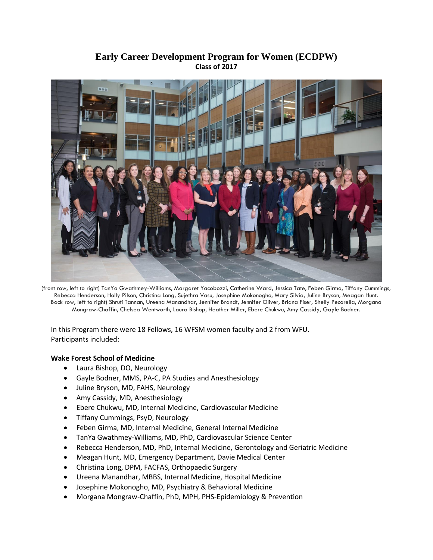## **Early Career Development Program for Women (ECDPW) Class of 2017**



(front row, left to right) TanYa Gwathmey-Williams, Margaret Yacobozzi, Catherine Ward, Jessica Tate, Feben Girma, Tiffany Cummings, Rebecca Henderson, Holly Pilson, Christina Long, Sujethra Vasu, Josephine Mokonogho, Mary Silvia, Juline Bryson, Meagan Hunt. Back row, left to right) Shruti Tannan, Ureena Manandhar, Jennifer Brandt, Jennifer Oliver, Briana Fiser, Shelly Pecorella, Morgana Mongraw-Chaffin, Chelsea Wentworth, Laura Bishop, Heather Miller, Ebere Chukwu, Amy Cassidy, Gayle Bodner.

In this Program there were 18 Fellows, 16 WFSM women faculty and 2 from WFU. Participants included:

## **Wake Forest School of Medicine**

- Laura Bishop, DO, Neurology
- Gayle Bodner, MMS, PA-C, PA Studies and Anesthesiology
- Juline Bryson, MD, FAHS, Neurology
- Amy Cassidy, MD, Anesthesiology
- Ebere Chukwu, MD, Internal Medicine, Cardiovascular Medicine
- **•** Tiffany Cummings, PsyD, Neurology
- Feben Girma, MD, Internal Medicine, General Internal Medicine
- TanYa Gwathmey-Williams, MD, PhD, Cardiovascular Science Center
- Rebecca Henderson, MD, PhD, Internal Medicine, Gerontology and Geriatric Medicine
- Meagan Hunt, MD, Emergency Department, Davie Medical Center
- Christina Long, DPM, FACFAS, Orthopaedic Surgery
- Ureena Manandhar, MBBS, Internal Medicine, Hospital Medicine
- Josephine Mokonogho, MD, Psychiatry & Behavioral Medicine
- Morgana Mongraw-Chaffin, PhD, MPH, PHS-Epidemiology & Prevention